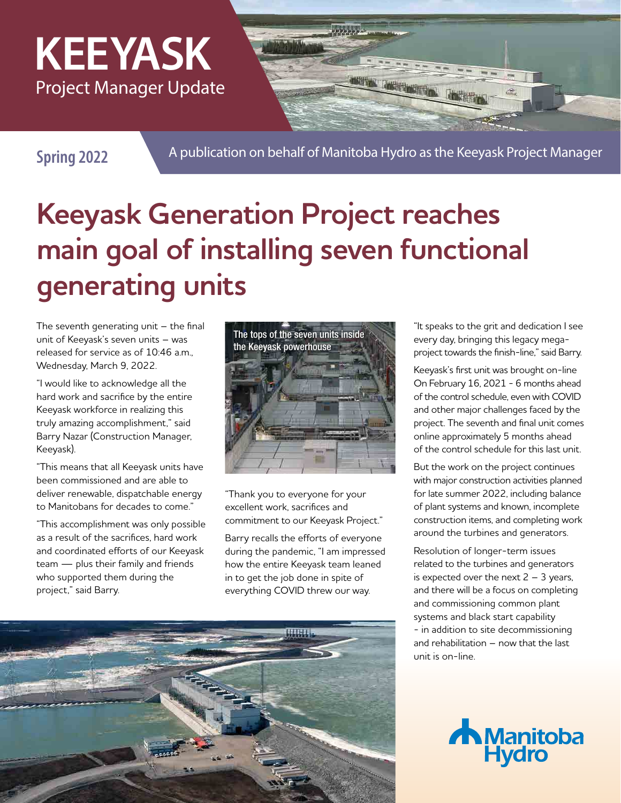### **KEEYASK** Project Manager Update

A publication on behalf of Manitoba Hydro as the Keeyask Project Manager **Spring 2022**

## **Keeyask Generation Project reaches main goal of installing seven functional generating units**

The seventh generating unit  $-$  the final unit of Keeyask's seven units – was released for service as of 10:46 a.m., Wednesday, March 9, 2022.

"I would like to acknowledge all the hard work and sacrifice by the entire Keeyask workforce in realizing this truly amazing accomplishment," said Barry Nazar (Construction Manager, Keeyask).

"This means that all Keeyask units have been commissioned and are able to deliver renewable, dispatchable energy to Manitobans for decades to come."

"This accomplishment was only possible as a result of the sacrifices, hard work and coordinated efforts of our Keeyask team — plus their family and friends who supported them during the project," said Barry.



"Thank you to everyone for your excellent work, sacrifices and commitment to our Keeyask Project."

Barry recalls the efforts of everyone during the pandemic, "I am impressed how the entire Keeyask team leaned in to get the job done in spite of everything COVID threw our way.



"It speaks to the grit and dedication I see every day, bringing this legacy megaproject towards the finish-line," said Barry.

Keeyask's first unit was brought on-line On February 16, 2021 - 6 months ahead of the control schedule, even with COVID and other major challenges faced by the project. The seventh and final unit comes online approximately 5 months ahead of the control schedule for this last unit.

But the work on the project continues with major construction activities planned for late summer 2022, including balance of plant systems and known, incomplete construction items, and completing work around the turbines and generators.

Resolution of longer-term issues related to the turbines and generators is expected over the next  $2 - 3$  years, and there will be a focus on completing and commissioning common plant systems and black start capability - in addition to site decommissioning and rehabilitation – now that the last unit is on-line.

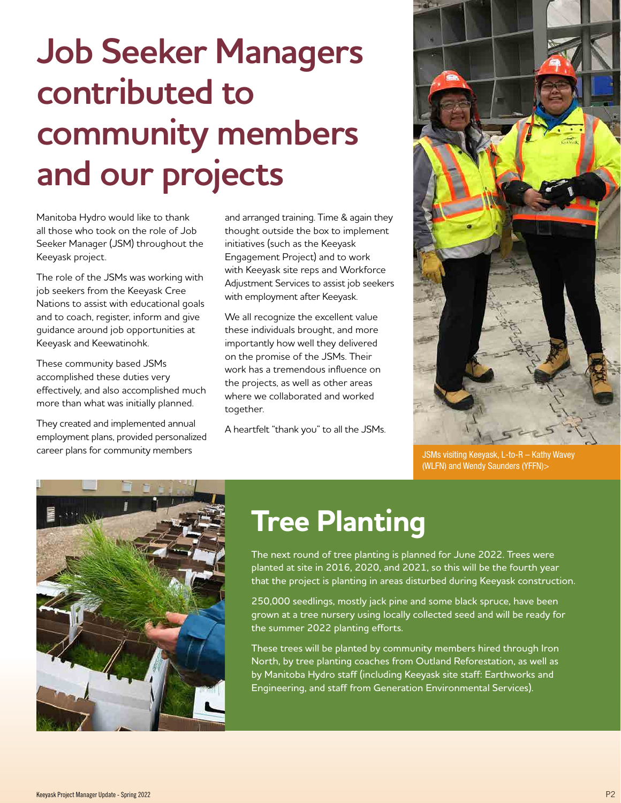# **Job Seeker Managers contributed to community members and our projects**

Manitoba Hydro would like to thank all those who took on the role of Job Seeker Manager (JSM) throughout the Keeyask project.

The role of the JSMs was working with job seekers from the Keeyask Cree Nations to assist with educational goals and to coach, register, inform and give guidance around job opportunities at Keeyask and Keewatinohk.

These community based JSMs accomplished these duties very effectively, and also accomplished much more than what was initially planned.

They created and implemented annual employment plans, provided personalized career plans for community members

and arranged training. Time & again they thought outside the box to implement initiatives (such as the Keeyask Engagement Project) and to work with Keeyask site reps and Workforce Adjustment Services to assist job seekers with employment after Keeyask.

We all recognize the excellent value these individuals brought, and more importantly how well they delivered on the promise of the JSMs. Their work has a tremendous influence on the projects, as well as other areas where we collaborated and worked together.

A heartfelt "thank you" to all the JSMs.



JSMs visiting Keeyask, L-to-R – Kathy Wavey (WLFN) and Wendy Saunders (YFFN)>



### **Tree Planting**

The next round of tree planting is planned for June 2022. Trees were planted at site in 2016, 2020, and 2021, so this will be the fourth year that the project is planting in areas disturbed during Keeyask construction.

250,000 seedlings, mostly jack pine and some black spruce, have been grown at a tree nursery using locally collected seed and will be ready for the summer 2022 planting efforts.

These trees will be planted by community members hired through Iron North, by tree planting coaches from Outland Reforestation, as well as by Manitoba Hydro staff (including Keeyask site staff: Earthworks and Engineering, and staff from Generation Environmental Services).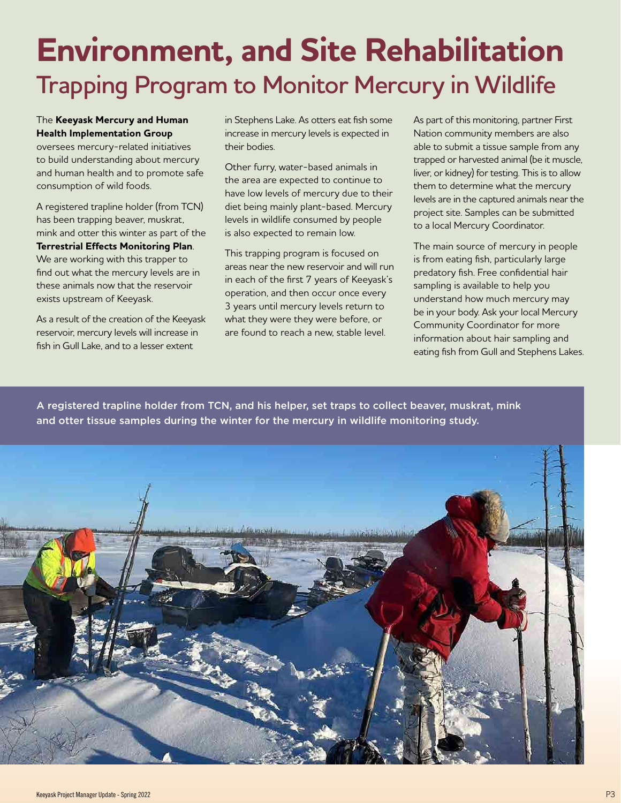### **Environment, and Site Rehabilitation Trapping Program to Monitor Mercury in Wildlife**

#### The **Keeyask Mercury and Human Health Implementation Group**

oversees mercury-related initiatives to build understanding about mercury and human health and to promote safe consumption of wild foods.

A registered trapline holder (from TCN) has been trapping beaver, muskrat, mink and otter this winter as part of the **Terrestrial Effects Monitoring Plan**. We are working with this trapper to find out what the mercury levels are in these animals now that the reservoir exists upstream of Keeyask.

As a result of the creation of the Keeyask reservoir, mercury levels will increase in fish in Gull Lake, and to a lesser extent

in Stephens Lake. As otters eat fish some increase in mercury levels is expected in their bodies.

Other furry, water-based animals in the area are expected to continue to have low levels of mercury due to their diet being mainly plant-based. Mercury levels in wildlife consumed by people is also expected to remain low.

This trapping program is focused on areas near the new reservoir and will run in each of the first 7 years of Keeyask's operation, and then occur once every 3 years until mercury levels return to what they were they were before, or are found to reach a new, stable level.

As part of this monitoring, partner First Nation community members are also able to submit a tissue sample from any trapped or harvested animal (be it muscle, liver, or kidney) for testing. This is to allow them to determine what the mercury levels are in the captured animals near the project site. Samples can be submitted to a local Mercury Coordinator.

The main source of mercury in people is from eating fish, particularly large predatory fish. Free confidential hair sampling is available to help you understand how much mercury may be in your body. Ask your local Mercury Community Coordinator for more information about hair sampling and eating fish from Gull and Stephens Lakes.

A registered trapline holder from TCN, and his helper, set traps to collect beaver, muskrat, mink and otter tissue samples during the winter for the mercury in wildlife monitoring study.